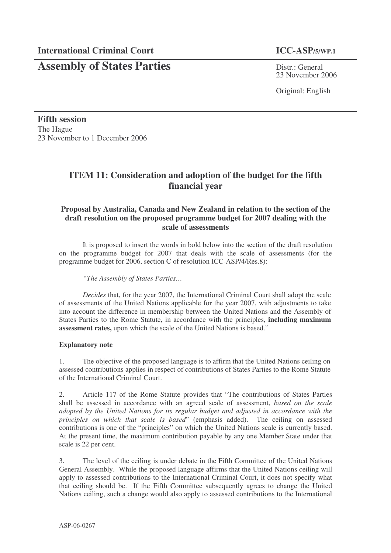# **Assembly of States Parties** Distr.: General

23 November 2006

Original: English

**Fifth session** The Hague 23 November to 1 December 2006

## **ITEM 11: Consideration and adoption of the budget for the fifth financial year**

## **Proposal by Australia, Canada and New Zealand in relation to the section of the draft resolution on the proposed programme budget for 2007 dealing with the scale of assessments**

It is proposed to insert the words in bold below into the section of the draft resolution on the programme budget for 2007 that deals with the scale of assessments (for the programme budget for 2006, section C of resolution ICC-ASP/4/Res.8):

*"The Assembly of States Parties…*

*Decides* that, for the year 2007, the International Criminal Court shall adopt the scale of assessments of the United Nations applicable for the year 2007, with adjustments to take into account the difference in membership between the United Nations and the Assembly of States Parties to the Rome Statute, in accordance with the principles, **including maximum assessment rates,** upon which the scale of the United Nations is based."

### **Explanatory note**

1. The objective of the proposed language is to affirm that the United Nations ceiling on assessed contributions applies in respect of contributions of States Parties to the Rome Statute of the International Criminal Court.

2. Article 117 of the Rome Statute provides that "The contributions of States Parties shall be assessed in accordance with an agreed scale of assessment, *based on the scale adopted by the United Nations for its regular budget and adjusted in accordance with the principles on which that scale is based*" (emphasis added). The ceiling on assessed contributions is one of the "principles" on which the United Nations scale is currently based. At the present time, the maximum contribution payable by any one Member State under that scale is 22 per cent.

3. The level of the ceiling is under debate in the Fifth Committee of the United Nations General Assembly. While the proposed language affirms that the United Nations ceiling will apply to assessed contributions to the International Criminal Court, it does not specify what that ceiling should be. If the Fifth Committee subsequently agrees to change the United Nations ceiling, such a change would also apply to assessed contributions to the International